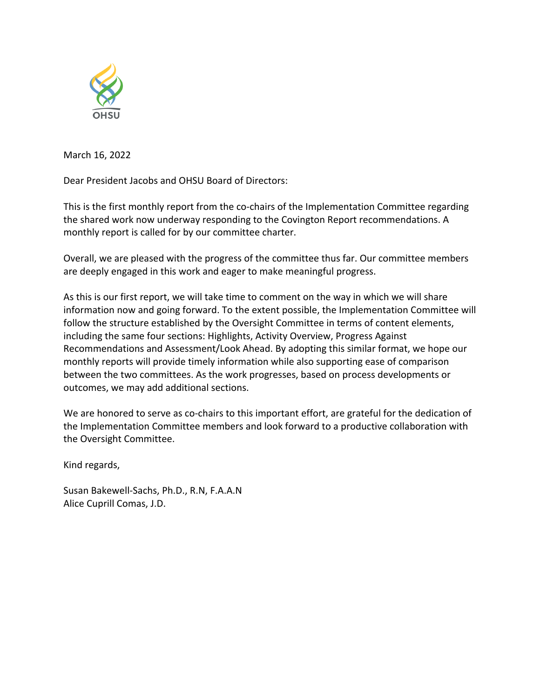

March 16, 2022

Dear President Jacobs and OHSU Board of Directors:

This is the first monthly report from the co-chairs of the Implementation Committee regarding the shared work now underway responding to the Covington Report recommendations. A monthly report is called for by our committee charter.

Overall, we are pleased with the progress of the committee thus far. Our committee members are deeply engaged in this work and eager to make meaningful progress.

As this is our first report, we will take time to comment on the way in which we will share information now and going forward. To the extent possible, the Implementation Committee will follow the structure established by the Oversight Committee in terms of content elements, including the same four sections: Highlights, Activity Overview, Progress Against Recommendations and Assessment/Look Ahead. By adopting this similar format, we hope our monthly reports will provide timely information while also supporting ease of comparison between the two committees. As the work progresses, based on process developments or outcomes, we may add additional sections.

We are honored to serve as co-chairs to this important effort, are grateful for the dedication of the Implementation Committee members and look forward to a productive collaboration with the Oversight Committee.

Kind regards,

Susan Bakewell-Sachs, Ph.D., R.N, F.A.A.N Alice Cuprill Comas, J.D.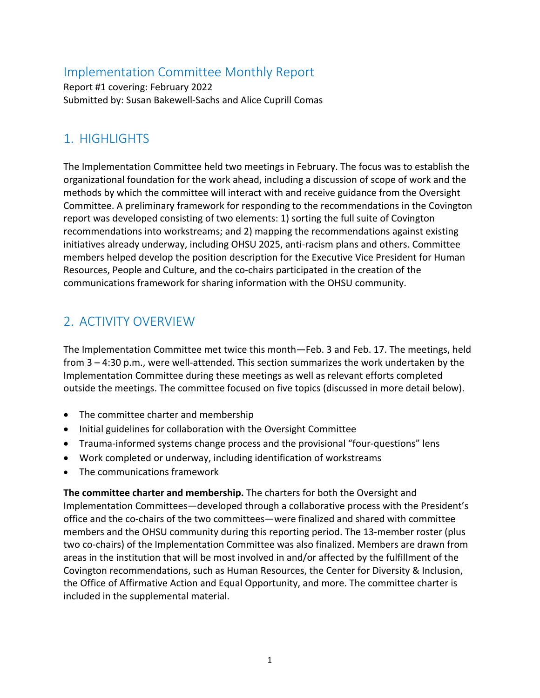### Implementation Committee Monthly Report

Report #1 covering: February 2022 Submitted by: Susan Bakewell-Sachs and Alice Cuprill Comas

#### 1. HIGHLIGHTS

The Implementation Committee held two meetings in February. The focus was to establish the organizational foundation for the work ahead, including a discussion of scope of work and the methods by which the committee will interact with and receive guidance from the Oversight Committee. A preliminary framework for responding to the recommendations in the Covington report was developed consisting of two elements: 1) sorting the full suite of Covington recommendations into workstreams; and 2) mapping the recommendations against existing initiatives already underway, including OHSU 2025, anti-racism plans and others. Committee members helped develop the position description for the Executive Vice President for Human Resources, People and Culture, and the co-chairs participated in the creation of the communications framework for sharing information with the OHSU community.

# 2. ACTIVITY OVERVIEW

The Implementation Committee met twice this month—Feb. 3 and Feb. 17. The meetings, held from 3 – 4:30 p.m., were well-attended. This section summarizes the work undertaken by the Implementation Committee during these meetings as well as relevant efforts completed outside the meetings. The committee focused on five topics (discussed in more detail below).

- The committee charter and membership
- Initial guidelines for collaboration with the Oversight Committee
- Trauma-informed systems change process and the provisional "four-questions" lens
- Work completed or underway, including identification of workstreams
- The communications framework

**The committee charter and membership.** The charters for both the Oversight and Implementation Committees—developed through a collaborative process with the President's office and the co-chairs of the two committees—were finalized and shared with committee members and the OHSU community during this reporting period. The 13-member roster (plus two co-chairs) of the Implementation Committee was also finalized. Members are drawn from areas in the institution that will be most involved in and/or affected by the fulfillment of the Covington recommendations, such as Human Resources, the Center for Diversity & Inclusion, the Office of Affirmative Action and Equal Opportunity, and more. The committee charter is included in the supplemental material.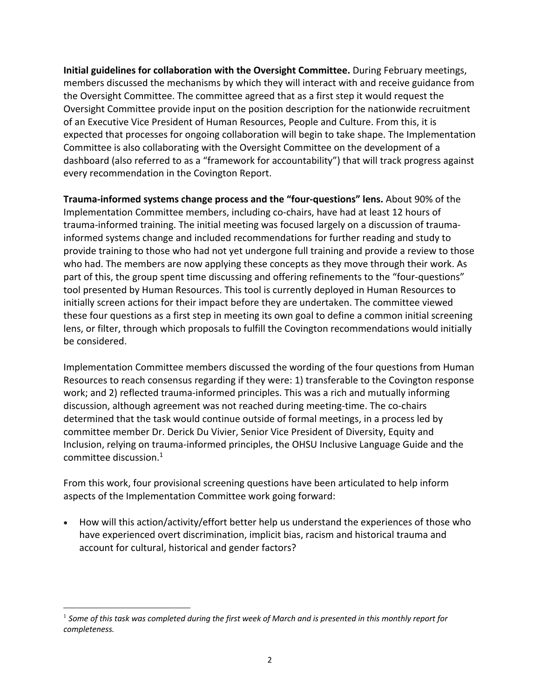**Initial guidelines for collaboration with the Oversight Committee.** During February meetings, members discussed the mechanisms by which they will interact with and receive guidance from the Oversight Committee. The committee agreed that as a first step it would request the Oversight Committee provide input on the position description for the nationwide recruitment of an Executive Vice President of Human Resources, People and Culture. From this, it is expected that processes for ongoing collaboration will begin to take shape. The Implementation Committee is also collaborating with the Oversight Committee on the development of a dashboard (also referred to as a "framework for accountability") that will track progress against every recommendation in the Covington Report.

**Trauma-informed systems change process and the "four-questions" lens.** About 90% of the Implementation Committee members, including co-chairs, have had at least 12 hours of trauma-informed training. The initial meeting was focused largely on a discussion of traumainformed systems change and included recommendations for further reading and study to provide training to those who had not yet undergone full training and provide a review to those who had. The members are now applying these concepts as they move through their work. As part of this, the group spent time discussing and offering refinements to the "four-questions" tool presented by Human Resources. This tool is currently deployed in Human Resources to initially screen actions for their impact before they are undertaken. The committee viewed these four questions as a first step in meeting its own goal to define a common initial screening lens, or filter, through which proposals to fulfill the Covington recommendations would initially be considered.

Implementation Committee members discussed the wording of the four questions from Human Resources to reach consensus regarding if they were: 1) transferable to the Covington response work; and 2) reflected trauma-informed principles. This was a rich and mutually informing discussion, although agreement was not reached during meeting-time. The co-chairs determined that the task would continue outside of formal meetings, in a process led by committee member Dr. Derick Du Vivier, Senior Vice President of Diversity, Equity and Inclusion, relying on trauma-informed principles, the OHSU Inclusive Language Guide and the committee discussion. 1

From this work, four provisional screening questions have been articulated to help inform aspects of the Implementation Committee work going forward:

• How will this action/activity/effort better help us understand the experiences of those who have experienced overt discrimination, implicit bias, racism and historical trauma and account for cultural, historical and gender factors?

<sup>1</sup> *Some of this task was completed during the first week of March and is presented in this monthly report for completeness.*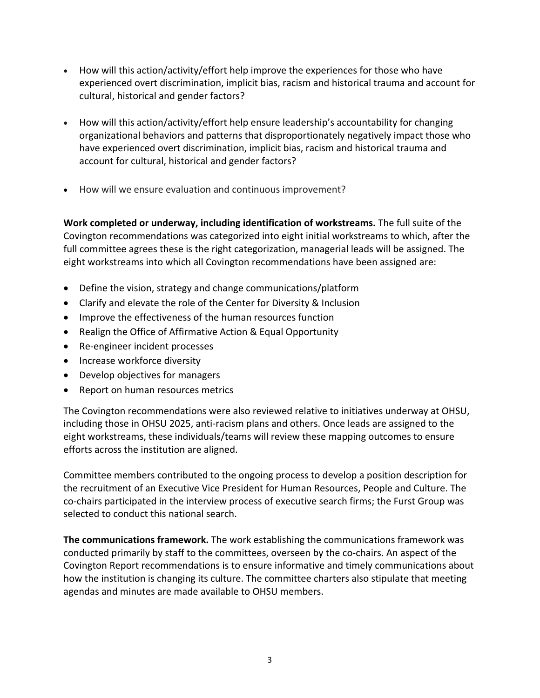- How will this action/activity/effort help improve the experiences for those who have experienced overt discrimination, implicit bias, racism and historical trauma and account for cultural, historical and gender factors?
- How will this action/activity/effort help ensure leadership's accountability for changing organizational behaviors and patterns that disproportionately negatively impact those who have experienced overt discrimination, implicit bias, racism and historical trauma and account for cultural, historical and gender factors?
- How will we ensure evaluation and continuous improvement?

**Work completed or underway, including identification of workstreams.** The full suite of the Covington recommendations was categorized into eight initial workstreams to which, after the full committee agrees these is the right categorization, managerial leads will be assigned. The eight workstreams into which all Covington recommendations have been assigned are:

- Define the vision, strategy and change communications/platform
- Clarify and elevate the role of the Center for Diversity & Inclusion
- Improve the effectiveness of the human resources function
- Realign the Office of Affirmative Action & Equal Opportunity
- Re-engineer incident processes
- Increase workforce diversity
- Develop objectives for managers
- Report on human resources metrics

The Covington recommendations were also reviewed relative to initiatives underway at OHSU, including those in OHSU 2025, anti-racism plans and others. Once leads are assigned to the eight workstreams, these individuals/teams will review these mapping outcomes to ensure efforts across the institution are aligned.

Committee members contributed to the ongoing process to develop a position description for the recruitment of an Executive Vice President for Human Resources, People and Culture. The co-chairs participated in the interview process of executive search firms; the Furst Group was selected to conduct this national search.

**The communications framework.** The work establishing the communications framework was conducted primarily by staff to the committees, overseen by the co-chairs. An aspect of the Covington Report recommendations is to ensure informative and timely communications about how the institution is changing its culture. The committee charters also stipulate that meeting agendas and minutes are made available to OHSU members.